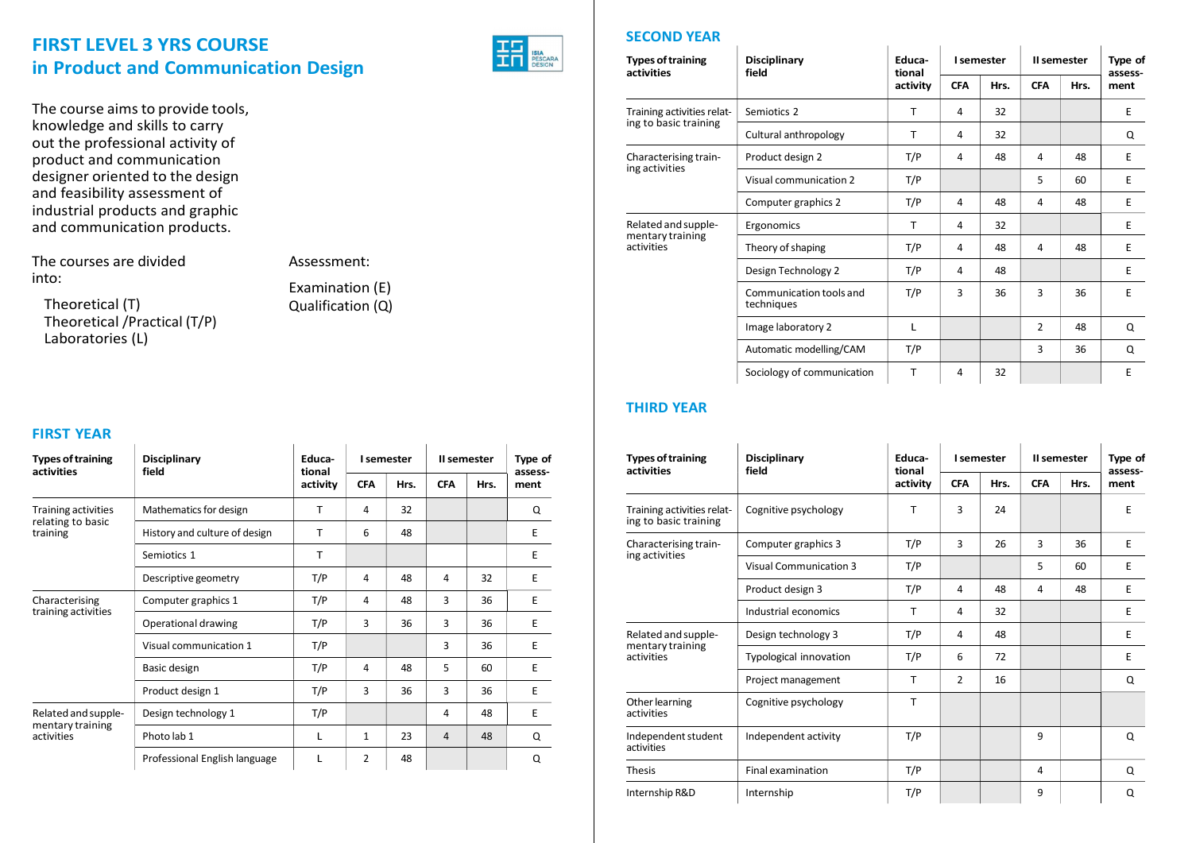# FIRST LEVEL 3 YRS COURSE in Product and Communication Design

The course aims to provide tools, knowledge and skills to carry out the professional activity of product and communication designer oriented to the design and feasibility assessment of industrial products and graphic and communication products.

The courses are divided into:

Theoretical (T) Theoretical /Practical (T/P) Laboratories (L)

Assessment:

Examination (E) Qualification (Q)

### FIRST YEAR

| <b>Types of training</b>       | <b>Disciplinary</b>           | Educa-             |            | I semester |            | II semester | Type of         | <b>Types of training</b><br>activities  | Di:<br>fie |
|--------------------------------|-------------------------------|--------------------|------------|------------|------------|-------------|-----------------|-----------------------------------------|------------|
| activities                     | field                         | tional<br>activity | <b>CFA</b> | Hrs.       | <b>CFA</b> | Hrs.        | assess-<br>ment |                                         |            |
| Training activities            | Mathematics for design        | т                  | 4          | 32         |            |             | Q               | Training activities relat-              | Co         |
| relating to basic<br>training  | History and culture of design | $\mathsf{T}$       | 6          | 48         |            |             | Е               | ing to basic training                   |            |
|                                | Semiotics 1                   | $\mathsf{T}$       |            |            |            |             | E               | Characterising train-<br>ing activities | Co         |
|                                |                               |                    |            |            |            |             |                 |                                         | Vis        |
|                                | Descriptive geometry          | T/P                | 4          | 48         | 4          | 32          | E               |                                         | Pro        |
| Characterising                 | Computer graphics 1           | T/P                | 4          | 48         | 3          | 36          | E               |                                         |            |
| training activities            | Operational drawing           | T/P                | 3          | 36         | 3          | 36          | E               |                                         | Inc        |
|                                | Visual communication 1        | T/P                |            |            | 3          | 36          | E               | Related and supple-<br>mentary training | De         |
|                                | Basic design                  | T/P                | 4          | 48         | 5.         | 60          | Е               | activities                              | Ty         |
|                                |                               |                    |            |            |            |             |                 |                                         | Pro        |
|                                | Product design 1              | T/P                | 3          | 36         | 3          | 36          | E.              | Other learning                          | Co         |
| Related and supple-            | Design technology 1           | T/P                |            |            | 4          | 48          | E               | activities                              |            |
| mentary training<br>activities | Photo lab 1                   | L                  | 1          | 23         | 4          | 48          | Q               | Independent student                     | Inc        |
|                                | Professional English language |                    | 2          | 48         |            |             | Q               | activities<br>アル・トーン                    | $-1$       |

### SECOND YEAR

| <b>Types of training</b>       | <b>Disciplinary</b>                   | Educa-             |                | I semester | II semester    | Type of |                 |
|--------------------------------|---------------------------------------|--------------------|----------------|------------|----------------|---------|-----------------|
| activities                     | field                                 | tional<br>activity | <b>CFA</b>     | Hrs.       | <b>CFA</b>     | Hrs.    | assess-<br>ment |
| Training activities relat-     | Semiotics 2                           | $\mathsf{T}$       | 4              | 32         |                |         | E               |
| ing to basic training          | Cultural anthropology                 | $\mathsf{T}$       | 4              | 32         |                |         | Q               |
| Characterising train-          | Product design 2                      | T/P                | 4              | 48         | 4              | 48      | E               |
| ing activities                 | Visual communication 2                | T/P                |                |            | 5              | 60      | Е               |
|                                | Computer graphics 2                   | T/P                | $\overline{a}$ | 48         | 4              | 48      | E               |
| Related and supple-            | Ergonomics                            | $\mathsf{T}$       | $\overline{a}$ | 32         |                |         | E.              |
| mentary training<br>activities | Theory of shaping                     | T/P                | $\overline{a}$ | 48         | 4              | 48      | E               |
|                                | Design Technology 2                   | T/P                | $\overline{4}$ | 48         |                |         | E               |
|                                | Communication tools and<br>techniques | T/P                | 3              | 36         | 3              | 36      | E               |
|                                | Image laboratory 2                    | L                  |                |            | $\overline{2}$ | 48      | Q               |
|                                | Automatic modelling/CAM               | T/P                |                |            | 3              | 36      | Q               |
|                                | Sociology of communication            | $\mathsf{T}$       | 4              | 32         |                |         | E               |

### THIRD YEAR

| Type of<br>assess- | <b>Types of training</b><br>activities              | <b>Disciplinary</b><br>field  | Educa-<br>tional |                | I semester |            | II semester | Type of<br>assess- |
|--------------------|-----------------------------------------------------|-------------------------------|------------------|----------------|------------|------------|-------------|--------------------|
| ment               |                                                     |                               | activity         | <b>CFA</b>     | Hrs.       | <b>CFA</b> | Hrs.        | ment               |
| Q                  | Training activities relat-<br>ing to basic training | Cognitive psychology          | T                | 3              | 24         |            |             | E                  |
| E                  |                                                     |                               |                  |                |            |            |             |                    |
| E                  | Characterising train-<br>ing activities             | Computer graphics 3           | T/P              | $\overline{3}$ | 26         | 3          | 36          | E                  |
| E                  |                                                     | <b>Visual Communication 3</b> | T/P              |                |            | 5          | 60          | Ε                  |
|                    |                                                     | Product design 3              | T/P              | $\overline{4}$ | 48         | 4          | 48          | E                  |
| E.                 |                                                     | Industrial economics          | T                | 4              | 32         |            |             | E                  |
| E.                 | Related and supple-                                 | Design technology 3           | T/P              | $\overline{4}$ | 48         |            |             | Ε                  |
| E                  | mentary training                                    |                               |                  |                |            |            |             |                    |
| E                  | activities                                          | Typological innovation        | T/P              | 6              | 72         |            |             | E                  |
| E                  |                                                     | Project management            | T                | 2              | 16         |            |             | Q                  |
|                    | Other learning                                      | Cognitive psychology          | T                |                |            |            |             |                    |
| E                  | activities                                          |                               |                  |                |            |            |             |                    |
| Q                  | Independent student                                 | Independent activity          | T/P              |                |            | 9          |             | Q                  |
| Q                  | activities                                          |                               |                  |                |            |            |             |                    |
|                    | Thesis                                              | Final examination             | T/P              |                |            | 4          |             | Q                  |
|                    | Internship R&D                                      | Internship                    | T/P              |                |            | 9          |             | Q                  |